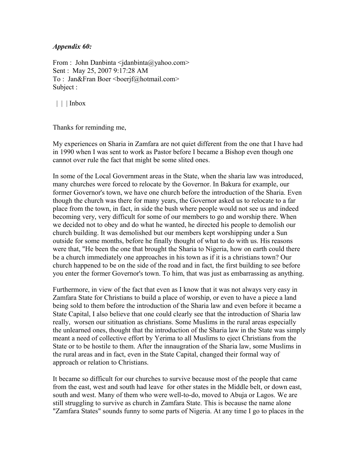## *Appendix 60:*

From : John Danbinta  $\langle$ jdanbinta $\langle \hat{\omega} \rangle$ yahoo.com> Sent : May 25, 2007 9:17:28 AM To : Jan&Fran Boer <br/>boerif@hotmail.com> Subject :

 $|| \cdot ||$  Inbox

Thanks for reminding me,

My experiences on Sharia in Zamfara are not quiet different from the one that I have had in 1990 when I was sent to work as Pastor before I became a Bishop even though one cannot over rule the fact that might be some slited ones.

In some of the Local Government areas in the State, when the sharia law was introduced, many churches were forced to relocate by the Governor. In Bakura for example, our former Governor's town, we have one church before the introduction of the Sharia. Even though the church was there for many years, the Governor asked us to relocate to a far place from the town, in fact, in side the bush where people would not see us and indeed becoming very, very difficult for some of our members to go and worship there. When we decided not to obey and do what he wanted, he directed his people to demolish our church building. It was demolished but our members kept worshipping under a Sun outside for some months, before he finally thought of what to do with us. His reasons were that, "He been the one that brought the Sharia to Nigeria, how on earth could there be a church immediately one approaches in his town as if it is a christians town? Our church happened to be on the side of the road and in fact, the first building to see before you enter the former Governor's town. To him, that was just as embarrassing as anything.

Furthermore, in view of the fact that even as I know that it was not always very easy in Zamfara State for Christians to build a place of worship, or even to have a piece a land being sold to them before the introduction of the Sharia law and even before it became a State Capital, I also believe that one could clearly see that the introduction of Sharia law really, worsen our sitituation as christians. Some Muslims in the rural areas especially the unlearned ones, thought that the introduction of the Sharia law in the State was simply meant a need of collective effort by Yerima to all Muslims to eject Christians from the State or to be hostile to them. After the innaugration of the Sharia law, some Muslims in the rural areas and in fact, even in the State Capital, changed their formal way of approach or relation to Christians.

It became so difficult for our churches to survive because most of the people that came from the east, west and south had leave for other states in the Middle belt, or down east, south and west. Many of them who were well-to-do, moved to Abuja or Lagos. We are still struggling to survive as church in Zamfara State. This is because the name alone "Zamfara States" sounds funny to some parts of Nigeria. At any time I go to places in the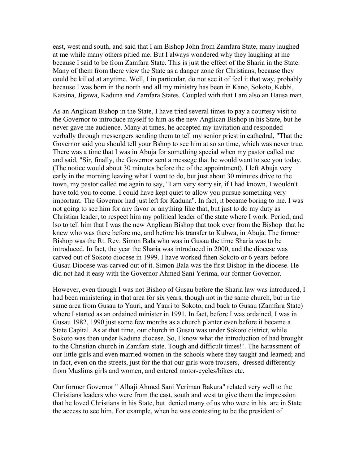east, west and south, and said that I am Bishop John from Zamfara State, many laughed at me while many others pitied me. But I always wondered why they laughing at me because I said to be from Zamfara State. This is just the effect of the Sharia in the State. Many of them from there view the State as a danger zone for Christians; because they could be killed at anytime. Well, I in particular, do not see it of feel it that way, probably because I was born in the north and all my ministry has been in Kano, Sokoto, Kebbi, Katsina, Jigawa, Kaduna and Zamfara States. Coupled with that I am also an Hausa man.

As an Anglican Bishop in the State, I have tried several times to pay a courtesy visit to the Governor to introduce myself to him as the new Anglican Bishop in his State, but he never gave me audience. Many at times, he accepted my invitation and responded verbally through messengers sending them to tell my senior priest in cathedral, "That the Governor said you should tell your Bshop to see him at so so time, which was never true. There was a time that I was in Abuja for something special when my pastor called me and said, "Sir, finally, the Governor sent a messege that he would want to see you today. (The notice would about 30 minutes before the of the appointment). I left Abuja very early in the morning leaving what I went to do, but just about 30 minutes drive to the town, my pastor called me again to say, "I am very sorry sir, if I had known, I wouldn't have told you to come. I could have kept quiet to allow you pursue something very important. The Governor had just left for Kaduna". In fact, it became boring to me. I was not going to see him for any favor or anything like that, but just to do my duty as Christian leader, to respect him my political leader of the state where I work. Period; and lso to tell him that I was the new Anglican Bishop that took over from the Bishop that he knew who was there before me, and before his transfer to Kubwa, in Abuja. The former Bishop was the Rt. Rev. Simon Bala who was in Gusau the time Sharia was to be introduced. In fact, the year the Sharia was introduced in 2000, and the diocese was carved out of Sokoto diocese in 1999. I have worked fthen Sokoto or 6 years before Gusau Diocese was carved out of it. Simon Bala was the first Bishop in the diocese. He did not had it easy with the Governor Ahmed Sani Yerima, our former Governor.

However, even though I was not Bishop of Gusau before the Sharia law was introduced, I had been ministering in that area for six years, though not in the same church, but in the same area from Gusau to Yauri, and Yauri to Sokoto, and back to Gusau (Zamfara State) where I started as an ordained minister in 1991. In fact, before I was ordained, I was in Gusau 1982, 1990 just some few months as a church planter even before it became a State Capital. As at that time, our church in Gusau was under Sokoto district, while Sokoto was then under Kaduna diocese. So, I know what the introduction of had brought to the Christian church in Zamfara state. Tough and difficult times!!. The harassment of our little girls and even married women in the schools where they taught and learned; and in fact, even on the streets, just for the that our girls wore trousers, dressed differently from Muslims girls and women, and entered motor-cycles/bikes etc.

Our former Governor " Alhaji Ahmed Sani Yeriman Bakura" related very well to the Christians leaders who were from the east, south and west to give them the impression that he loved Christians in his State, but denied many of us who were in his are in State the access to see him. For example, when he was contesting to be the president of